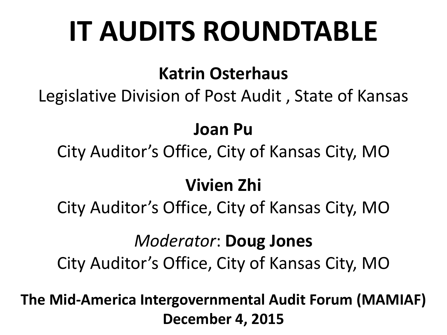### **IT AUDITS ROUNDTABLE**

#### **Katrin Osterhaus**

Legislative Division of Post Audit , State of Kansas

#### **Joan Pu**

City Auditor's Office, City of Kansas City, MO

#### **Vivien Zhi**

City Auditor's Office, City of Kansas City, MO

#### *Moderator*: **Doug Jones**

City Auditor's Office, City of Kansas City, MO

**The Mid-America Intergovernmental Audit Forum (MAMIAF) December 4, 2015**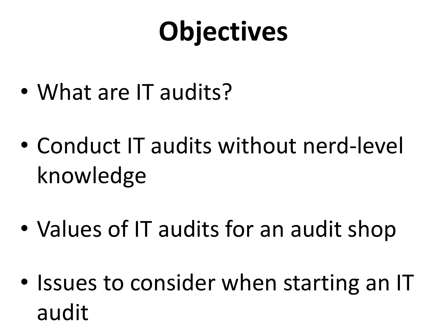## **Objectives**

- What are IT audits?
- Conduct IT audits without nerd-level knowledge
- Values of IT audits for an audit shop
- Issues to consider when starting an IT audit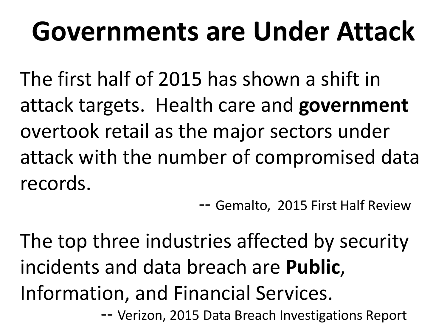### **Governments are Under Attack**

The first half of 2015 has shown a shift in attack targets. Health care and **government** overtook retail as the major sectors under attack with the number of compromised data records.<br>
-- Gemalto, 2015 First Half Review

The top three industries affected by security incidents and data breach are **Public**, Information, and Financial Services. -- Verizon, 2015 Data Breach Investigations Report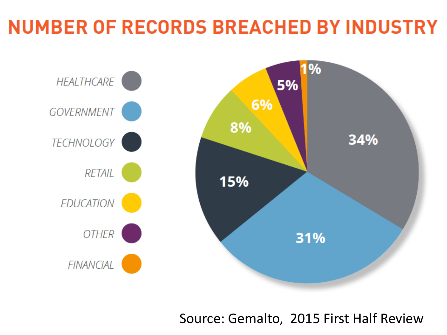### **NUMBER OF RECORDS BREACHED BY INDUSTRY**



Source: Gemalto, 2015 First Half Review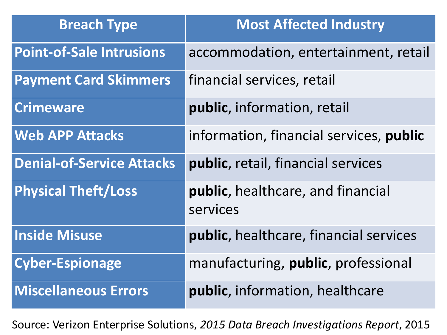| <b>Breach Type</b>               | <b>Most Affected Industry</b>                 |
|----------------------------------|-----------------------------------------------|
| <b>Point-of-Sale Intrusions</b>  | accommodation, entertainment, retail          |
| <b>Payment Card Skimmers</b>     | financial services, retail                    |
| <b>Crimeware</b>                 | public, information, retail                   |
| <b>Web APP Attacks</b>           | information, financial services, public       |
| <b>Denial-of-Service Attacks</b> | public, retail, financial services            |
| <b>Physical Theft/Loss</b>       | public, healthcare, and financial<br>services |
| <b>Inside Misuse</b>             | public, healthcare, financial services        |
| <b>Cyber-Espionage</b>           | manufacturing, <b>public</b> , professional   |
| <b>Miscellaneous Errors</b>      | <b>public</b> , information, healthcare       |

Source: Verizon Enterprise Solutions, *2015 Data Breach Investigations Report*, 2015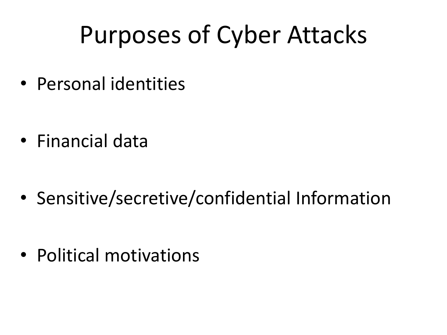### Purposes of Cyber Attacks

• Personal identities

• Financial data

• Sensitive/secretive/confidential Information

• Political motivations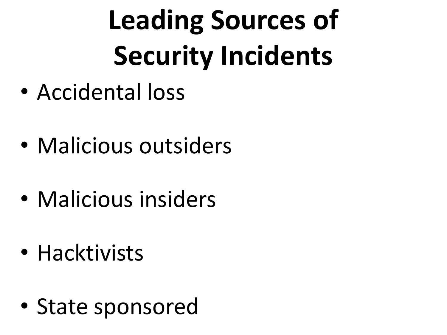# **Leading Sources of Security Incidents**

- Accidental loss
- Malicious outsiders
- Malicious insiders
- Hacktivists
- State sponsored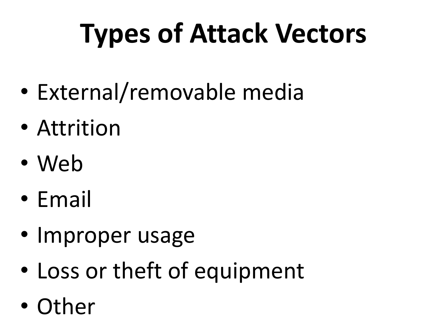# **Types of Attack Vectors**

- External/removable media
- Attrition
- Web
- Email
- Improper usage
- Loss or theft of equipment
- Other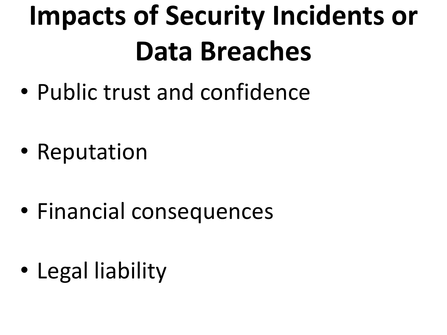## **Impacts of Security Incidents or Data Breaches**

• Public trust and confidence

- Reputation
- Financial consequences
- Legal liability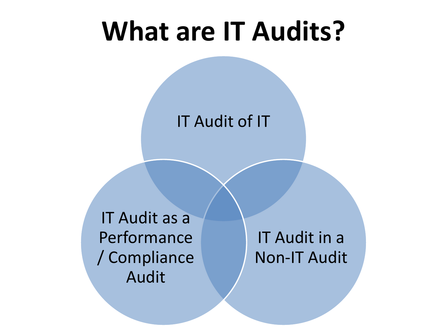### **What are IT Audits?**

IT Audit of IT

IT Audit as a Performance / Compliance Audit

IT Audit in a Non-IT Audit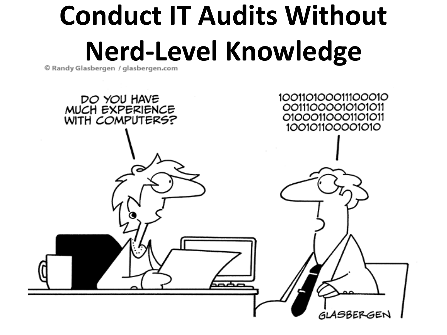# **Conduct IT Audits Without Nerd-Level Knowledge**

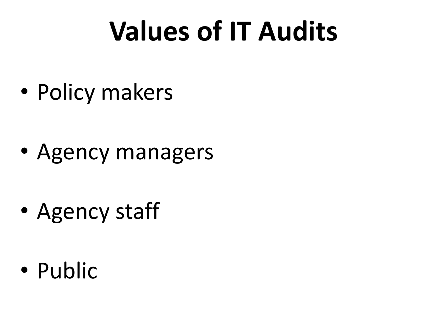### **Values of IT Audits**

• Policy makers

- Agency managers
- Agency staff
- Public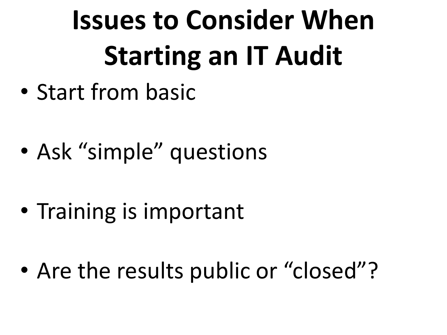# **Issues to Consider When Starting an IT Audit**

- Start from basic
- Ask "simple" questions

- Training is important
- Are the results public or "closed"?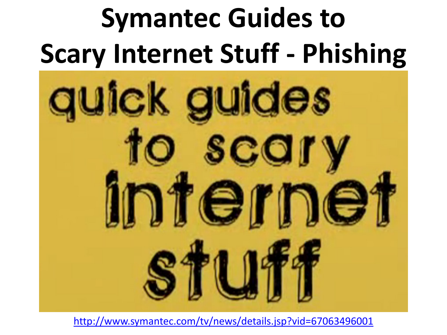## **Symantec Guides to Scary Internet Stuff - Phishing**



<http://www.symantec.com/tv/news/details.jsp?vid=67063496001>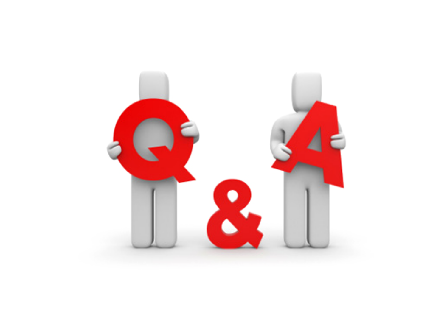